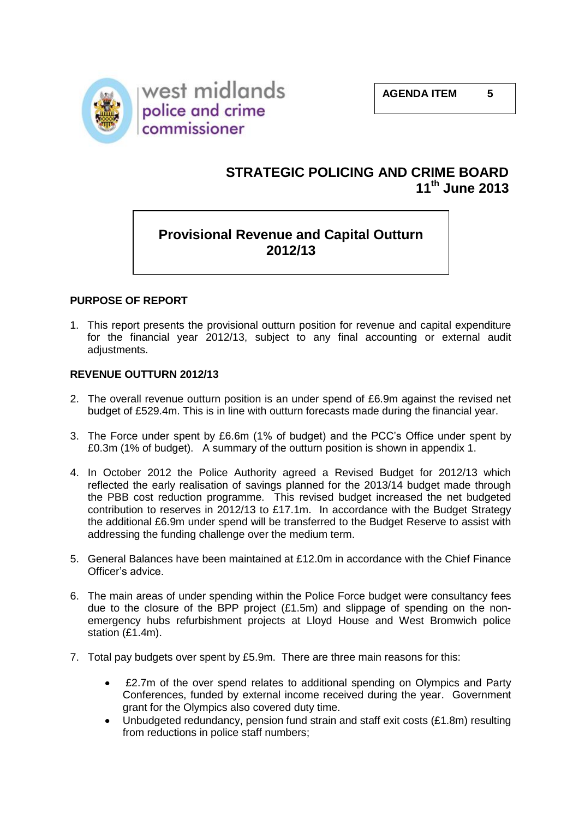

# **STRATEGIC POLICING AND CRIME BOARD 11th June 2013**

# **Provisional Revenue and Capital Outturn 2012/13**

# **PURPOSE OF REPORT**

1. This report presents the provisional outturn position for revenue and capital expenditure for the financial year 2012/13, subject to any final accounting or external audit adjustments.

### **REVENUE OUTTURN 2012/13**

- 2. The overall revenue outturn position is an under spend of £6.9m against the revised net budget of £529.4m. This is in line with outturn forecasts made during the financial year.
- 3. The Force under spent by £6.6m (1% of budget) and the PCC's Office under spent by £0.3m (1% of budget). A summary of the outturn position is shown in appendix 1.
- 4. In October 2012 the Police Authority agreed a Revised Budget for 2012/13 which reflected the early realisation of savings planned for the 2013/14 budget made through the PBB cost reduction programme. This revised budget increased the net budgeted contribution to reserves in 2012/13 to £17.1m. In accordance with the Budget Strategy the additional £6.9m under spend will be transferred to the Budget Reserve to assist with addressing the funding challenge over the medium term.
- 5. General Balances have been maintained at £12.0m in accordance with the Chief Finance Officer's advice.
- 6. The main areas of under spending within the Police Force budget were consultancy fees due to the closure of the BPP project (£1.5m) and slippage of spending on the nonemergency hubs refurbishment projects at Lloyd House and West Bromwich police station (£1.4m).
- 7. Total pay budgets over spent by £5.9m. There are three main reasons for this:
	- £2.7m of the over spend relates to additional spending on Olympics and Party Conferences, funded by external income received during the year. Government grant for the Olympics also covered duty time.
	- $\bullet$ Unbudgeted redundancy, pension fund strain and staff exit costs (£1.8m) resulting from reductions in police staff numbers;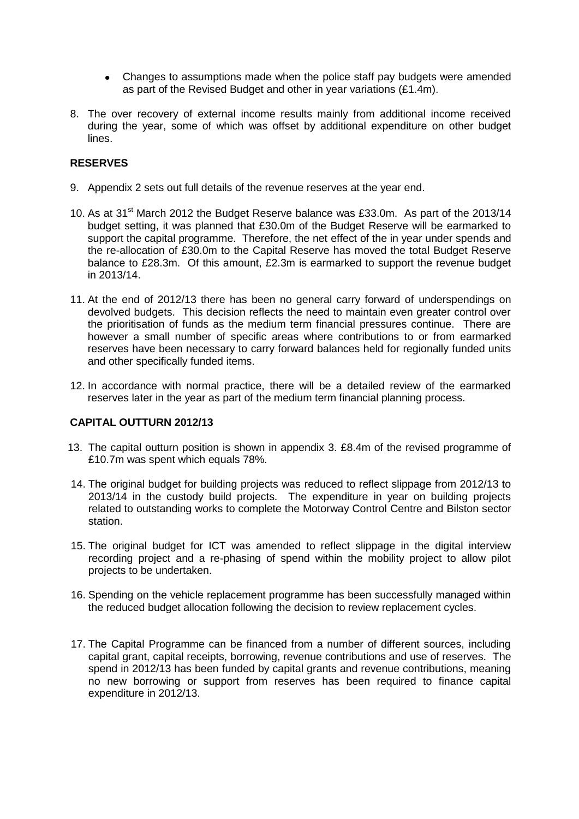- Changes to assumptions made when the police staff pay budgets were amended as part of the Revised Budget and other in year variations (£1.4m).
- 8. The over recovery of external income results mainly from additional income received during the year, some of which was offset by additional expenditure on other budget lines.

## **RESERVES**

- 9. Appendix 2 sets out full details of the revenue reserves at the year end.
- 10. As at 31<sup>st</sup> March 2012 the Budget Reserve balance was £33.0m. As part of the 2013/14 budget setting, it was planned that £30.0m of the Budget Reserve will be earmarked to support the capital programme. Therefore, the net effect of the in year under spends and the re-allocation of £30.0m to the Capital Reserve has moved the total Budget Reserve balance to £28.3m. Of this amount, £2.3m is earmarked to support the revenue budget in 2013/14.
- 11. At the end of 2012/13 there has been no general carry forward of underspendings on devolved budgets. This decision reflects the need to maintain even greater control over the prioritisation of funds as the medium term financial pressures continue. There are however a small number of specific areas where contributions to or from earmarked reserves have been necessary to carry forward balances held for regionally funded units and other specifically funded items.
- 12. In accordance with normal practice, there will be a detailed review of the earmarked reserves later in the year as part of the medium term financial planning process.

### **CAPITAL OUTTURN 2012/13**

- 13. The capital outturn position is shown in appendix 3. £8.4m of the revised programme of £10.7m was spent which equals 78%.
- 14. The original budget for building projects was reduced to reflect slippage from 2012/13 to 2013/14 in the custody build projects. The expenditure in year on building projects related to outstanding works to complete the Motorway Control Centre and Bilston sector station.
- 15. The original budget for ICT was amended to reflect slippage in the digital interview recording project and a re-phasing of spend within the mobility project to allow pilot projects to be undertaken.
- 16. Spending on the vehicle replacement programme has been successfully managed within the reduced budget allocation following the decision to review replacement cycles.
- 17. The Capital Programme can be financed from a number of different sources, including capital grant, capital receipts, borrowing, revenue contributions and use of reserves. The spend in 2012/13 has been funded by capital grants and revenue contributions, meaning no new borrowing or support from reserves has been required to finance capital expenditure in 2012/13.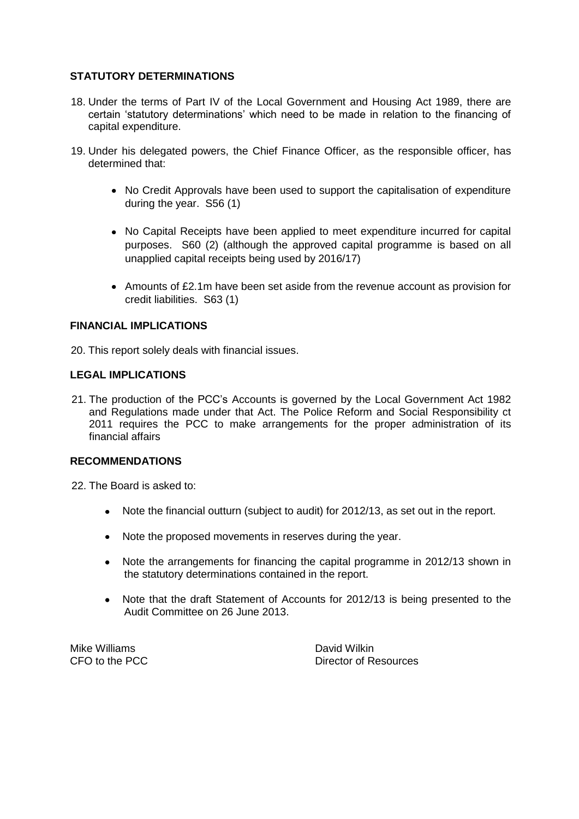## **STATUTORY DETERMINATIONS**

- 18. Under the terms of Part IV of the Local Government and Housing Act 1989, there are certain 'statutory determinations' which need to be made in relation to the financing of capital expenditure.
- 19. Under his delegated powers, the Chief Finance Officer, as the responsible officer, has determined that:
	- No Credit Approvals have been used to support the capitalisation of expenditure during the year. S56 (1)
	- No Capital Receipts have been applied to meet expenditure incurred for capital purposes. S60 (2) (although the approved capital programme is based on all unapplied capital receipts being used by 2016/17)
	- Amounts of £2.1m have been set aside from the revenue account as provision for credit liabilities. S63 (1)

#### **FINANCIAL IMPLICATIONS**

20. This report solely deals with financial issues.

### **LEGAL IMPLICATIONS**

21. The production of the PCC's Accounts is governed by the Local Government Act 1982 and Regulations made under that Act. The Police Reform and Social Responsibility ct 2011 requires the PCC to make arrangements for the proper administration of its financial affairs

#### **RECOMMENDATIONS**

22. The Board is asked to:

- Note the financial outturn (subject to audit) for 2012/13, as set out in the report.
- Note the proposed movements in reserves during the year.
- Note the arrangements for financing the capital programme in 2012/13 shown in  $\bullet$ the statutory determinations contained in the report.
- Note that the draft Statement of Accounts for 2012/13 is being presented to the  $\bullet$ Audit Committee on 26 June 2013.

Mike Williams **David Wilkin** 

CFO to the PCC Director of Resources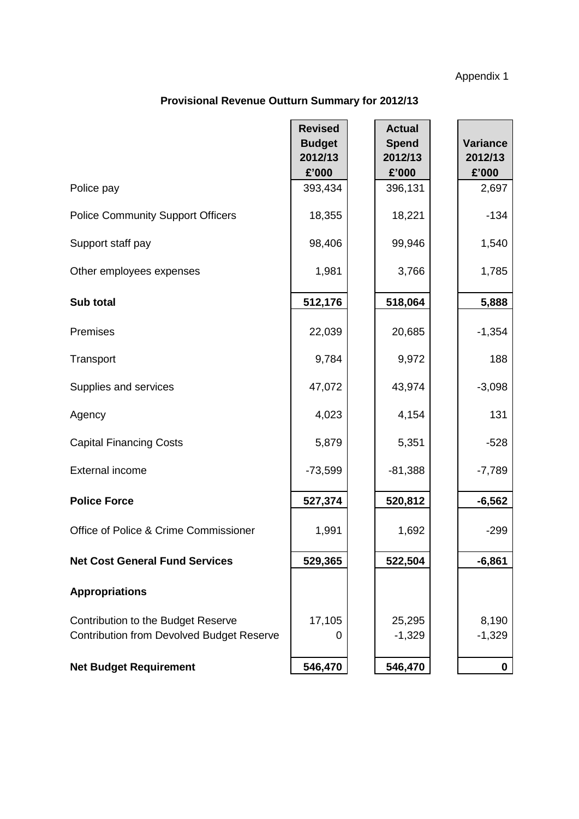Appendix 1

# **Provisional Revenue Outturn Summary for 2012/13**

|                                                                                        | <b>Revised</b><br><b>Budget</b><br>2012/13 | <b>Actual</b><br><b>Spend</b><br>2012/13 | <b>Variance</b><br>2012/13 |
|----------------------------------------------------------------------------------------|--------------------------------------------|------------------------------------------|----------------------------|
|                                                                                        | £'000                                      | £'000                                    | £'000                      |
| Police pay                                                                             | 393,434                                    | 396,131                                  | 2,697                      |
| <b>Police Community Support Officers</b>                                               | 18,355                                     | 18,221                                   | $-134$                     |
| Support staff pay                                                                      | 98,406                                     | 99,946                                   | 1,540                      |
| Other employees expenses                                                               | 1,981                                      | 3,766                                    | 1,785                      |
| Sub total                                                                              | 512,176                                    | 518,064                                  | 5,888                      |
| Premises                                                                               | 22,039                                     | 20,685                                   | $-1,354$                   |
| Transport                                                                              | 9,784                                      | 9,972                                    | 188                        |
| Supplies and services                                                                  | 47,072                                     | 43,974                                   | $-3,098$                   |
| Agency                                                                                 | 4,023                                      | 4,154                                    | 131                        |
| <b>Capital Financing Costs</b>                                                         | 5,879                                      | 5,351                                    | $-528$                     |
| External income                                                                        | $-73,599$                                  | $-81,388$                                | $-7,789$                   |
| <b>Police Force</b>                                                                    | 527,374                                    | 520,812                                  | $-6,562$                   |
| Office of Police & Crime Commissioner                                                  | 1,991                                      | 1,692                                    | $-299$                     |
| <b>Net Cost General Fund Services</b>                                                  | 529,365                                    | 522,504                                  | $-6,861$                   |
| <b>Appropriations</b>                                                                  |                                            |                                          |                            |
| Contribution to the Budget Reserve<br><b>Contribution from Devolved Budget Reserve</b> | 17,105<br>0                                | 25,295<br>$-1,329$                       | 8,190<br>$-1,329$          |
|                                                                                        |                                            |                                          |                            |
| <b>Net Budget Requirement</b>                                                          | 546,470                                    | 546,470                                  | 0                          |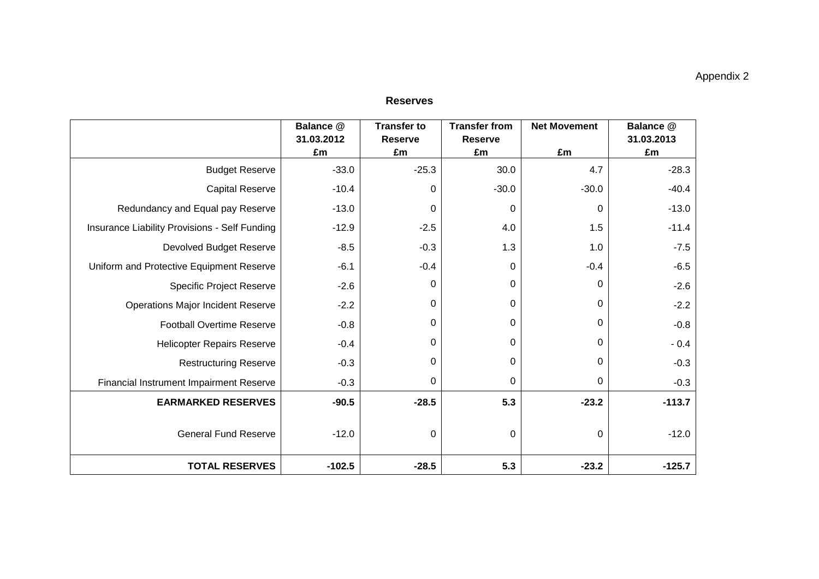|                                               | Balance @        | <b>Transfer to</b>   | <b>Transfer from</b> | <b>Net Movement</b> | Balance @        |
|-----------------------------------------------|------------------|----------------------|----------------------|---------------------|------------------|
|                                               | 31.03.2012<br>£m | <b>Reserve</b><br>£m | <b>Reserve</b><br>£m | £m                  | 31.03.2013<br>£m |
| <b>Budget Reserve</b>                         | $-33.0$          | $-25.3$              | 30.0                 | 4.7                 | $-28.3$          |
| <b>Capital Reserve</b>                        | $-10.4$          | $\mathbf 0$          | $-30.0$              | $-30.0$             | $-40.4$          |
| Redundancy and Equal pay Reserve              | $-13.0$          | $\mathbf 0$          | 0                    | 0                   | $-13.0$          |
| Insurance Liability Provisions - Self Funding | $-12.9$          | $-2.5$               | 4.0                  | 1.5                 | $-11.4$          |
| <b>Devolved Budget Reserve</b>                | $-8.5$           | $-0.3$               | 1.3                  | 1.0                 | $-7.5$           |
| Uniform and Protective Equipment Reserve      | $-6.1$           | $-0.4$               | $\Omega$             | $-0.4$              | $-6.5$           |
| <b>Specific Project Reserve</b>               | $-2.6$           | $\mathbf 0$          | 0                    | 0                   | $-2.6$           |
| <b>Operations Major Incident Reserve</b>      | $-2.2$           | $\mathbf 0$          | $\mathbf 0$          | 0                   | $-2.2$           |
| <b>Football Overtime Reserve</b>              | $-0.8$           | 0                    | 0                    | 0                   | $-0.8$           |
| <b>Helicopter Repairs Reserve</b>             | $-0.4$           | $\mathbf 0$          | 0                    | 0                   | $-0.4$           |
| <b>Restructuring Reserve</b>                  | $-0.3$           | $\mathbf 0$          | 0                    | 0                   | $-0.3$           |
| Financial Instrument Impairment Reserve       | $-0.3$           | 0                    | $\Omega$             | 0                   | $-0.3$           |
| <b>EARMARKED RESERVES</b>                     | $-90.5$          | $-28.5$              | 5.3                  | $-23.2$             | $-113.7$         |
| <b>General Fund Reserve</b>                   | $-12.0$          | $\mathbf 0$          | 0                    | 0                   | $-12.0$          |
| <b>TOTAL RESERVES</b>                         | $-102.5$         | $-28.5$              | 5.3                  | $-23.2$             | $-125.7$         |